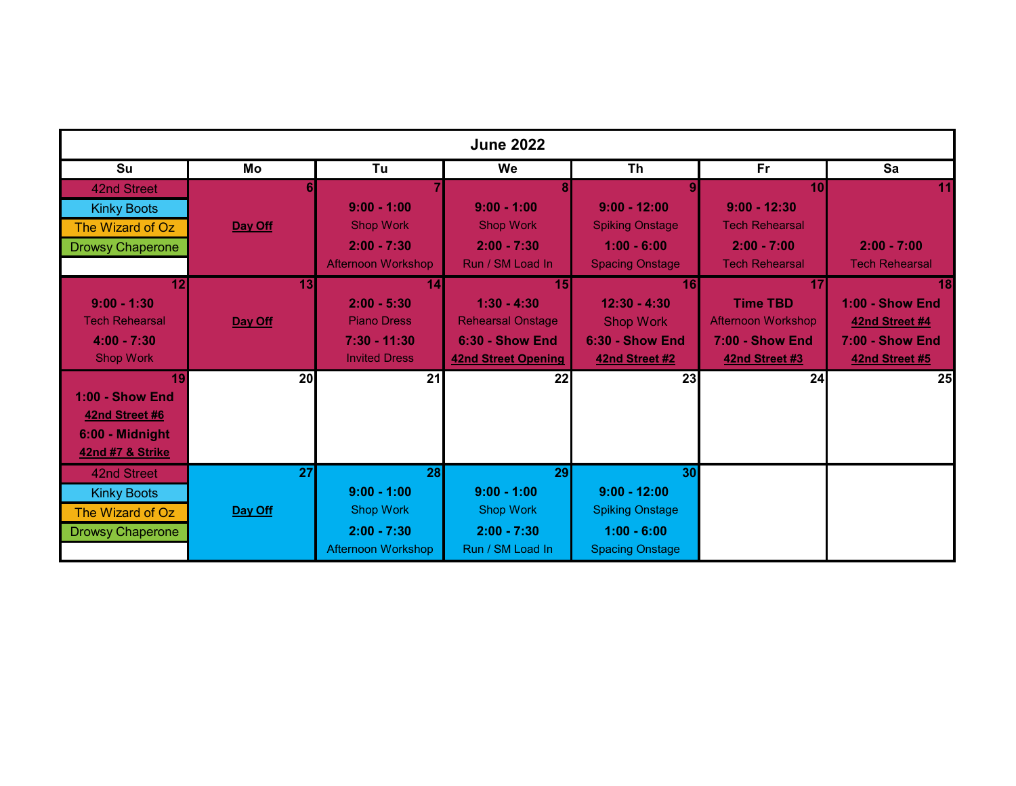| <b>June 2022</b>        |                 |                           |                            |                        |                           |                        |  |
|-------------------------|-----------------|---------------------------|----------------------------|------------------------|---------------------------|------------------------|--|
| Su                      | Mo              | Tu                        | We                         | <b>Th</b>              | Fr                        | Sa                     |  |
| 42nd Street             |                 |                           | 8                          |                        | 10                        | 11                     |  |
| <b>Kinky Boots</b>      |                 | $9:00 - 1:00$             | $9:00 - 1:00$              | $9:00 - 12:00$         | $9:00 - 12:30$            |                        |  |
| The Wizard of Oz        | Day Off         | <b>Shop Work</b>          | <b>Shop Work</b>           | <b>Spiking Onstage</b> | <b>Tech Rehearsal</b>     |                        |  |
| <b>Drowsy Chaperone</b> |                 | $2:00 - 7:30$             | $2:00 - 7:30$              | $1:00 - 6:00$          | $2:00 - 7:00$             | $2:00 - 7:00$          |  |
|                         |                 | <b>Afternoon Workshop</b> | Run / SM Load In           | <b>Spacing Onstage</b> | <b>Tech Rehearsal</b>     | <b>Tech Rehearsal</b>  |  |
| 12                      | 13              | 14                        | 15                         | <b>16</b>              | 17                        | 18                     |  |
| $9:00 - 1:30$           |                 | $2:00 - 5:30$             | $1:30 - 4:30$              | $12:30 - 4:30$         | <b>Time TBD</b>           | <b>1:00 - Show End</b> |  |
| <b>Tech Rehearsal</b>   | Day Off         | <b>Piano Dress</b>        | <b>Rehearsal Onstage</b>   | <b>Shop Work</b>       | <b>Afternoon Workshop</b> | 42nd Street #4         |  |
| $4:00 - 7:30$           |                 | $7:30 - 11:30$            | <b>6:30 - Show End</b>     | <b>6:30 - Show End</b> | <b>7:00 - Show End</b>    | <b>7:00 - Show End</b> |  |
| <b>Shop Work</b>        |                 | <b>Invited Dress</b>      | <b>42nd Street Opening</b> | 42nd Street #2         | 42nd Street #3            | 42nd Street #5         |  |
| 19                      | 20              | 21                        | 22                         | 23                     | 24                        | 25                     |  |
| <b>1:00 - Show End</b>  |                 |                           |                            |                        |                           |                        |  |
| 42nd Street #6          |                 |                           |                            |                        |                           |                        |  |
| 6:00 - Midnight         |                 |                           |                            |                        |                           |                        |  |
| 42nd #7 & Strike        |                 |                           |                            |                        |                           |                        |  |
| 42nd Street             | $\overline{27}$ | 28                        | 29                         | 30                     |                           |                        |  |
| <b>Kinky Boots</b>      |                 | $9:00 - 1:00$             | $9:00 - 1:00$              | $9:00 - 12:00$         |                           |                        |  |
| The Wizard of Oz        | Day Off         | <b>Shop Work</b>          | <b>Shop Work</b>           | <b>Spiking Onstage</b> |                           |                        |  |
| <b>Drowsy Chaperone</b> |                 | $2:00 - 7:30$             | $2:00 - 7:30$              | $1:00 - 6:00$          |                           |                        |  |
|                         |                 | <b>Afternoon Workshop</b> | Run / SM Load In           | <b>Spacing Onstage</b> |                           |                        |  |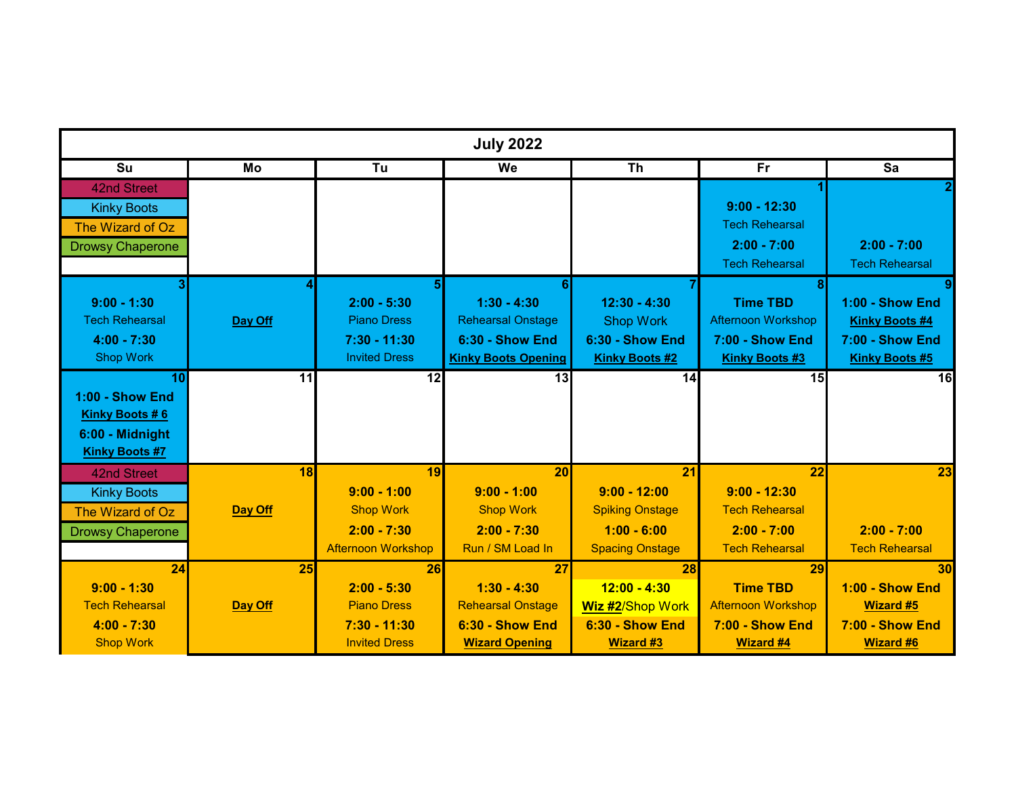| <b>July 2022</b>        |         |                           |                            |                         |                           |                        |
|-------------------------|---------|---------------------------|----------------------------|-------------------------|---------------------------|------------------------|
| Su                      | Mo      | Tu                        | We                         | <b>Th</b>               | <b>Fr</b>                 | Sa                     |
| 42nd Street             |         |                           |                            |                         |                           |                        |
| <b>Kinky Boots</b>      |         |                           |                            |                         | $9:00 - 12:30$            |                        |
| The Wizard of Oz        |         |                           |                            |                         | <b>Tech Rehearsal</b>     |                        |
| <b>Drowsy Chaperone</b> |         |                           |                            |                         | $2:00 - 7:00$             | $2:00 - 7:00$          |
|                         |         |                           |                            |                         | <b>Tech Rehearsal</b>     | <b>Tech Rehearsal</b>  |
|                         |         | 5                         | 6                          |                         | 8 <sup>1</sup>            |                        |
| $9:00 - 1:30$           |         | $2:00 - 5:30$             | $1:30 - 4:30$              | $12:30 - 4:30$          | <b>Time TBD</b>           | <b>1:00 - Show End</b> |
| <b>Tech Rehearsal</b>   | Day Off | <b>Piano Dress</b>        | <b>Rehearsal Onstage</b>   | <b>Shop Work</b>        | <b>Afternoon Workshop</b> | <b>Kinky Boots #4</b>  |
| $4:00 - 7:30$           |         | $7:30 - 11:30$            | <b>6:30 - Show End</b>     | <b>6:30 - Show End</b>  | <b>7:00 - Show End</b>    | <b>7:00 - Show End</b> |
| <b>Shop Work</b>        |         | <b>Invited Dress</b>      | <b>Kinky Boots Opening</b> | <b>Kinky Boots #2</b>   | <b>Kinky Boots #3</b>     | <b>Kinky Boots #5</b>  |
| 10                      | 11      | 12                        | 13                         | 14                      | 15                        | $\overline{16}$        |
| <b>1:00 - Show End</b>  |         |                           |                            |                         |                           |                        |
| <b>Kinky Boots #6</b>   |         |                           |                            |                         |                           |                        |
| 6:00 - Midnight         |         |                           |                            |                         |                           |                        |
| <b>Kinky Boots #7</b>   |         |                           |                            |                         |                           |                        |
| 42nd Street             | 18      | 19                        | 20                         | $\overline{21}$         | $\overline{22}$           | 23                     |
| <b>Kinky Boots</b>      |         | $9:00 - 1:00$             | $9:00 - 1:00$              | $9:00 - 12:00$          | $9:00 - 12:30$            |                        |
| The Wizard of Oz        | Day Off | <b>Shop Work</b>          | <b>Shop Work</b>           | <b>Spiking Onstage</b>  | <b>Tech Rehearsal</b>     |                        |
| <b>Drowsy Chaperone</b> |         | $2:00 - 7:30$             | $2:00 - 7:30$              | $1:00 - 6:00$           | $2:00 - 7:00$             | $2:00 - 7:00$          |
|                         |         | <b>Afternoon Workshop</b> | Run / SM Load In           | <b>Spacing Onstage</b>  | <b>Tech Rehearsal</b>     | <b>Tech Rehearsal</b>  |
| 24                      | 25      | 26                        | 27                         | 28                      | 29                        | 30                     |
| $9:00 - 1:30$           |         | $2:00 - 5:30$             | $1:30 - 4:30$              | $12:00 - 4:30$          | <b>Time TBD</b>           | <b>1:00 - Show End</b> |
| <b>Tech Rehearsal</b>   | Day Off | <b>Piano Dress</b>        | <b>Rehearsal Onstage</b>   | <b>Wiz #2/Shop Work</b> | <b>Afternoon Workshop</b> | <b>Wizard #5</b>       |
| $4:00 - 7:30$           |         | $7:30 - 11:30$            | 6:30 - Show End            | <b>6:30 - Show End</b>  | <b>7:00 - Show End</b>    | <b>7:00 - Show End</b> |
| <b>Shop Work</b>        |         | <b>Invited Dress</b>      | <b>Wizard Opening</b>      | <b>Wizard #3</b>        | <b>Wizard #4</b>          | <b>Wizard #6</b>       |